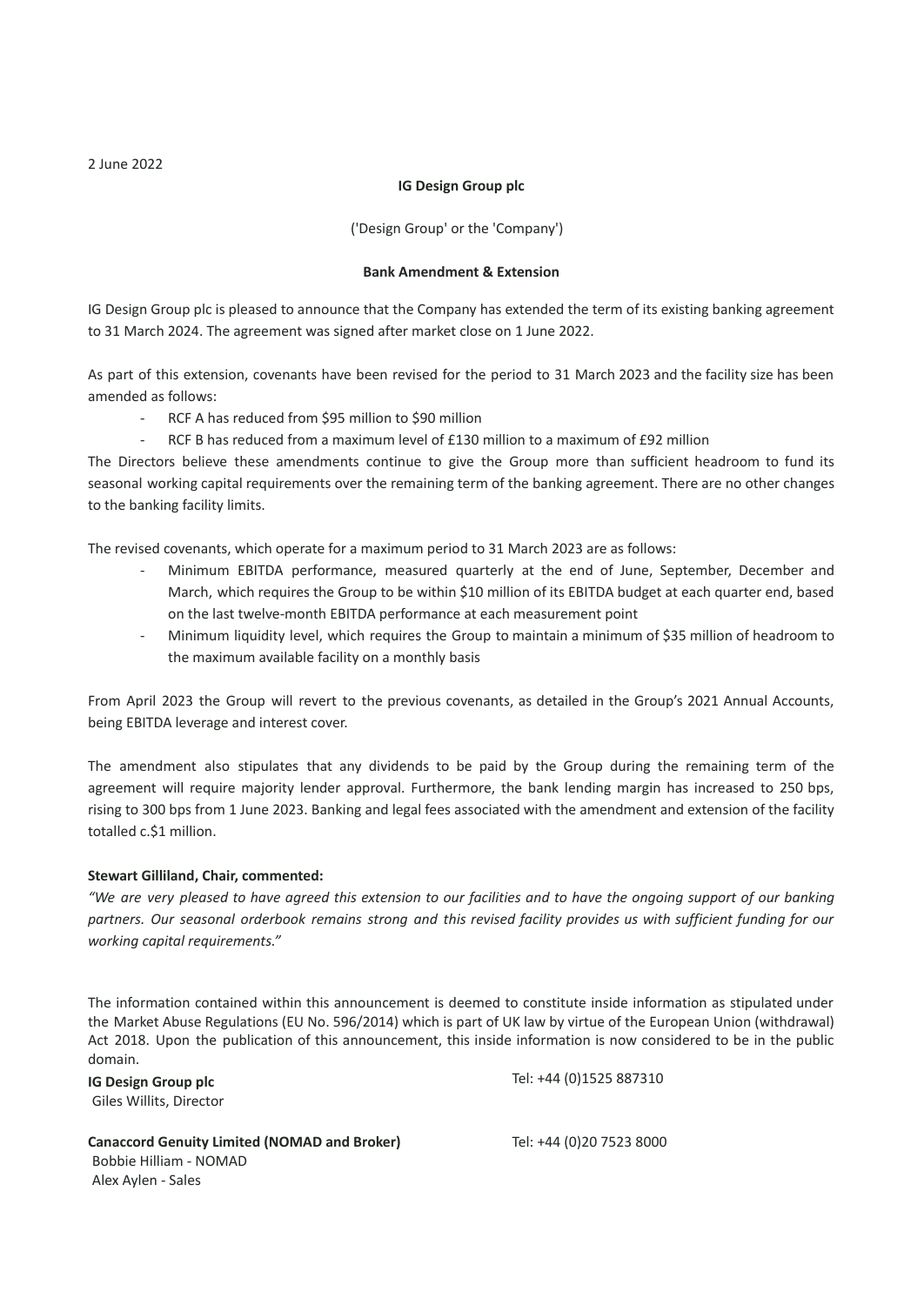### **IG Design Group plc**

('Design Group' or the 'Company')

## **Bank Amendment & Extension**

IG Design Group plc is pleased to announce that the Company has extended the term of its existing banking agreement to 31 March 2024. The agreement was signed after market close on 1 June 2022.

As part of this extension, covenants have been revised for the period to 31 March 2023 and the facility size has been amended as follows:

- RCF A has reduced from \$95 million to \$90 million
	- RCF B has reduced from a maximum level of £130 million to a maximum of £92 million

The Directors believe these amendments continue to give the Group more than sufficient headroom to fund its seasonal working capital requirements over the remaining term of the banking agreement. There are no other changes to the banking facility limits.

The revised covenants, which operate for a maximum period to 31 March 2023 are as follows:

- Minimum EBITDA performance, measured quarterly at the end of June, September, December and March, which requires the Group to be within \$10 million of its EBITDA budget at each quarter end, based on the last twelve-month EBITDA performance at each measurement point
- Minimum liquidity level, which requires the Group to maintain a minimum of \$35 million of headroom to the maximum available facility on a monthly basis

From April 2023 the Group will revert to the previous covenants, as detailed in the Group's 2021 Annual Accounts, being EBITDA leverage and interest cover.

The amendment also stipulates that any dividends to be paid by the Group during the remaining term of the agreement will require majority lender approval. Furthermore, the bank lending margin has increased to 250 bps, rising to 300 bps from 1 June 2023. Banking and legal fees associated with the amendment and extension of the facility totalled c.\$1 million.

### **Stewart Gilliland, Chair, commented:**

"We are very pleased to have agreed this extension to our facilities and to have the ongoing support of our banking partners. Our seasonal orderbook remains strong and this revised facility provides us with sufficient funding for our *working capital requirements."*

The information contained within this announcement is deemed to constitute inside information as stipulated under the Market Abuse Regulations (EU No. 596/2014) which is part of UK law by virtue of the European Union (withdrawal) Act 2018. Upon the publication of this announcement, this inside information is now considered to be in the public domain.

**IG Design Group plc** Giles Willits, Director Tel: +44 (0)1525 887310

**Canaccord Genuity Limited (NOMAD and Broker)** Bobbie Hilliam - NOMAD Alex Aylen - Sales

Tel: +44 (0)20 7523 8000